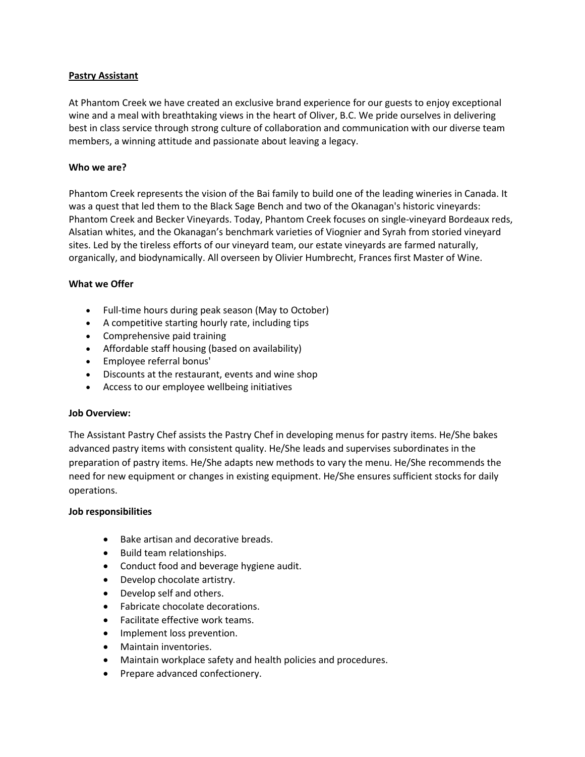## **Pastry Assistant**

At Phantom Creek we have created an exclusive brand experience for our guests to enjoy exceptional wine and a meal with breathtaking views in the heart of Oliver, B.C. We pride ourselves in delivering best in class service through strong culture of collaboration and communication with our diverse team members, a winning attitude and passionate about leaving a legacy.

### **Who we are?**

Phantom Creek represents the vision of the Bai family to build one of the leading wineries in Canada. It was a quest that led them to the Black Sage Bench and two of the Okanagan's historic vineyards: Phantom Creek and Becker Vineyards. Today, Phantom Creek focuses on single-vineyard Bordeaux reds, Alsatian whites, and the Okanagan's benchmark varieties of Viognier and Syrah from storied vineyard sites. Led by the tireless efforts of our vineyard team, our estate vineyards are farmed naturally, organically, and biodynamically. All overseen by Olivier Humbrecht, Frances first Master of Wine.

# **What we Offer**

- Full-time hours during peak season (May to October)
- A competitive starting hourly rate, including tips
- Comprehensive paid training
- Affordable staff housing (based on availability)
- Employee referral bonus'
- Discounts at the restaurant, events and wine shop
- Access to our employee wellbeing initiatives

### **Job Overview:**

The Assistant Pastry Chef assists the Pastry Chef in developing menus for pastry items. He/She bakes advanced pastry items with consistent quality. He/She leads and supervises subordinates in the preparation of pastry items. He/She adapts new methods to vary the menu. He/She recommends the need for new equipment or changes in existing equipment. He/She ensures sufficient stocks for daily operations.

### **Job responsibilities**

- Bake artisan and decorative breads.
- Build team relationships.
- Conduct food and beverage hygiene audit.
- Develop chocolate artistry.
- Develop self and others.
- Fabricate chocolate decorations.
- Facilitate effective work teams.
- Implement loss prevention.
- Maintain inventories.
- Maintain workplace safety and health policies and procedures.
- Prepare advanced confectionery.